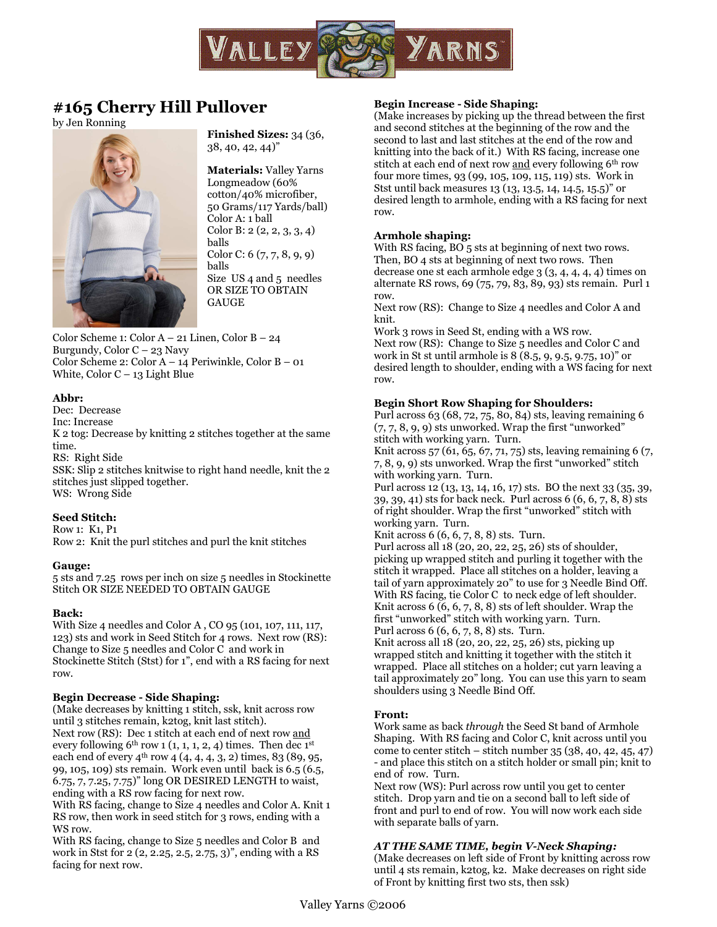

# **#165 Cherry Hill Pullover**

by Jen Ronning



**Finished Sizes:** 34 (36, 38, 40, 42, 44)"

**Materials:** Valley Yarns Longmeadow (60% cotton/40% microfiber, 50 Grams/117 Yards/ball) Color A: 1 ball Color B: 2 (2, 2, 3, 3, 4) balls Color C: 6 (7, 7, 8, 9, 9) balls Size US 4 and 5 needles OR SIZE TO OBTAIN GAUGE

Color Scheme 1: Color A – 21 Linen, Color B – 24 Burgundy, Color C – 23 Navy Color Scheme 2: Color A – 14 Periwinkle, Color B – 01 White, Color C – 13 Light Blue

## **Abbr:**

Dec: Decrease Inc: Increase K 2 tog: Decrease by knitting 2 stitches together at the same time. RS: Right Side SSK: Slip 2 stitches knitwise to right hand needle, knit the 2 stitches just slipped together. WS: Wrong Side

## **Seed Stitch:**

Row 1: K1, P1 Row 2: Knit the purl stitches and purl the knit stitches

## **Gauge:**

5 sts and 7.25 rows per inch on size 5 needles in Stockinette Stitch OR SIZE NEEDED TO OBTAIN GAUGE

## **Back:**

With Size 4 needles and Color A , CO 95 (101, 107, 111, 117, 123) sts and work in Seed Stitch for 4 rows. Next row (RS): Change to Size 5 needles and Color C and work in Stockinette Stitch (Stst) for 1", end with a RS facing for next row.

## **Begin Decrease - Side Shaping:**

(Make decreases by knitting 1 stitch, ssk, knit across row until 3 stitches remain, k2tog, knit last stitch). Next row (RS): Dec 1 stitch at each end of next row and every following  $6^{th}$  row 1 (1, 1, 1, 2, 4) times. Then dec 1<sup>st</sup> each end of every 4<sup>th</sup> row 4 (4, 4, 4, 3, 2) times, 83 (89, 95, 99, 105, 109) sts remain. Work even until back is 6.5 (6.5, 6.75, 7, 7.25, 7.75)" long OR DESIRED LENGTH to waist, ending with a RS row facing for next row.

With RS facing, change to Size 4 needles and Color A. Knit 1 RS row, then work in seed stitch for 3 rows, ending with a WS row.

With RS facing, change to Size 5 needles and Color B and work in Stst for 2 (2, 2.25, 2.5, 2.75, 3)", ending with a RS facing for next row.

## **Begin Increase - Side Shaping:**

(Make increases by picking up the thread between the first and second stitches at the beginning of the row and the second to last and last stitches at the end of the row and knitting into the back of it.) With RS facing, increase one stitch at each end of next row and every following 6<sup>th</sup> row four more times, 93 (99, 105, 109, 115, 119) sts. Work in Stst until back measures 13 (13, 13.5, 14, 14.5, 15.5)" or desired length to armhole, ending with a RS facing for next row.

## **Armhole shaping:**

With RS facing, BO 5 sts at beginning of next two rows. Then, BO 4 sts at beginning of next two rows. Then decrease one st each armhole edge 3 (3, 4, 4, 4, 4) times on alternate RS rows, 69 (75, 79, 83, 89, 93) sts remain. Purl 1 row.

Next row (RS): Change to Size 4 needles and Color A and knit.

Work 3 rows in Seed St, ending with a WS row. Next row (RS): Change to Size 5 needles and Color C and work in St st until armhole is 8 (8.5, 9, 9.5, 9.75, 10)" or desired length to shoulder, ending with a WS facing for next row.

## **Begin Short Row Shaping for Shoulders:**

Purl across 63 (68, 72, 75, 80, 84) sts, leaving remaining 6  $(7, 7, 8, 9, 9)$  sts unworked. Wrap the first "unworked" stitch with working yarn. Turn.

Knit across 57 (61, 65, 67, 71, 75) sts, leaving remaining 6 (7, 7, 8, 9, 9) sts unworked. Wrap the first "unworked" stitch with working yarn. Turn.

Purl across 12 (13, 13, 14, 16, 17) sts. BO the next 33 (35, 39, 39, 39, 41) sts for back neck. Purl across 6 (6, 6, 7, 8, 8) sts of right shoulder. Wrap the first "unworked" stitch with working yarn. Turn.

Knit across 6 (6, 6, 7, 8, 8) sts. Turn.

Purl across all 18 (20, 20, 22, 25, 26) sts of shoulder, picking up wrapped stitch and purling it together with the stitch it wrapped. Place all stitches on a holder, leaving a tail of yarn approximately 20" to use for 3 Needle Bind Off. With RS facing, tie Color C to neck edge of left shoulder. Knit across 6 (6, 6, 7, 8, 8) sts of left shoulder. Wrap the first "unworked" stitch with working yarn. Turn. Purl across 6 (6, 6, 7, 8, 8) sts. Turn.

Knit across all 18 (20, 20, 22, 25, 26) sts, picking up wrapped stitch and knitting it together with the stitch it wrapped. Place all stitches on a holder; cut yarn leaving a tail approximately 20" long. You can use this yarn to seam shoulders using 3 Needle Bind Off.

### **Front:**

Work same as back *through* the Seed St band of Armhole Shaping. With RS facing and Color C, knit across until you come to center stitch – stitch number 35 (38, 40, 42, 45, 47) - and place this stitch on a stitch holder or small pin; knit to end of row. Turn.

Next row (WS): Purl across row until you get to center stitch. Drop yarn and tie on a second ball to left side of front and purl to end of row. You will now work each side with separate balls of yarn.

## *AT THE SAME TIME, begin V-Neck Shaping:*

(Make decreases on left side of Front by knitting across row until 4 sts remain, k2tog, k2. Make decreases on right side of Front by knitting first two sts, then ssk)